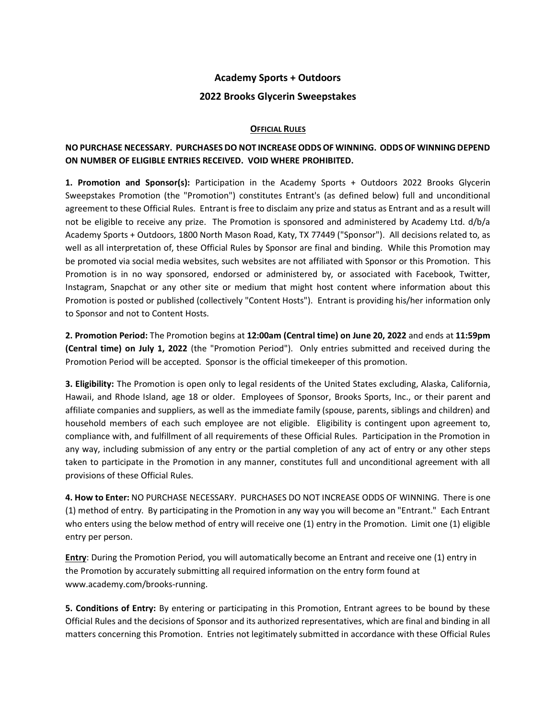## **Academy Sports + Outdoors**

### **2022 Brooks Glycerin Sweepstakes**

### **OFFICIAL RULES**

# **NO PURCHASE NECESSARY. PURCHASES DO NOT INCREASE ODDS OF WINNING. ODDS OF WINNING DEPEND ON NUMBER OF ELIGIBLE ENTRIES RECEIVED. VOID WHERE PROHIBITED.**

**1. Promotion and Sponsor(s):** Participation in the Academy Sports + Outdoors 2022 Brooks Glycerin Sweepstakes Promotion (the "Promotion") constitutes Entrant's (as defined below) full and unconditional agreement to these Official Rules. Entrant is free to disclaim any prize and status as Entrant and as a result will not be eligible to receive any prize. The Promotion is sponsored and administered by Academy Ltd. d/b/a Academy Sports + Outdoors, 1800 North Mason Road, Katy, TX 77449 ("Sponsor"). All decisions related to, as well as all interpretation of, these Official Rules by Sponsor are final and binding. While this Promotion may be promoted via social media websites, such websites are not affiliated with Sponsor or this Promotion. This Promotion is in no way sponsored, endorsed or administered by, or associated with Facebook, Twitter, Instagram, Snapchat or any other site or medium that might host content where information about this Promotion is posted or published (collectively "Content Hosts"). Entrant is providing his/her information only to Sponsor and not to Content Hosts.

**2. Promotion Period:** The Promotion begins at **12:00am (Central time) on June 20, 2022** and ends at **11:59pm (Central time) on July 1, 2022** (the "Promotion Period"). Only entries submitted and received during the Promotion Period will be accepted. Sponsor is the official timekeeper of this promotion.

**3. Eligibility:** The Promotion is open only to legal residents of the United States excluding, Alaska, California, Hawaii, and Rhode Island, age 18 or older. Employees of Sponsor, Brooks Sports, Inc., or their parent and affiliate companies and suppliers, as well as the immediate family (spouse, parents, siblings and children) and household members of each such employee are not eligible. Eligibility is contingent upon agreement to, compliance with, and fulfillment of all requirements of these Official Rules. Participation in the Promotion in any way, including submission of any entry or the partial completion of any act of entry or any other steps taken to participate in the Promotion in any manner, constitutes full and unconditional agreement with all provisions of these Official Rules.

**4. How to Enter:** NO PURCHASE NECESSARY. PURCHASES DO NOT INCREASE ODDS OF WINNING. There is one (1) method of entry. By participating in the Promotion in any way you will become an "Entrant." Each Entrant who enters using the below method of entry will receive one (1) entry in the Promotion. Limit one (1) eligible entry per person.

**Entry**: During the Promotion Period, you will automatically become an Entrant and receive one (1) entry in the Promotion by accurately submitting all required information on the entry form found at www.academy.com/brooks-running.

**5. Conditions of Entry:** By entering or participating in this Promotion, Entrant agrees to be bound by these Official Rules and the decisions of Sponsor and its authorized representatives, which are final and binding in all matters concerning this Promotion. Entries not legitimately submitted in accordance with these Official Rules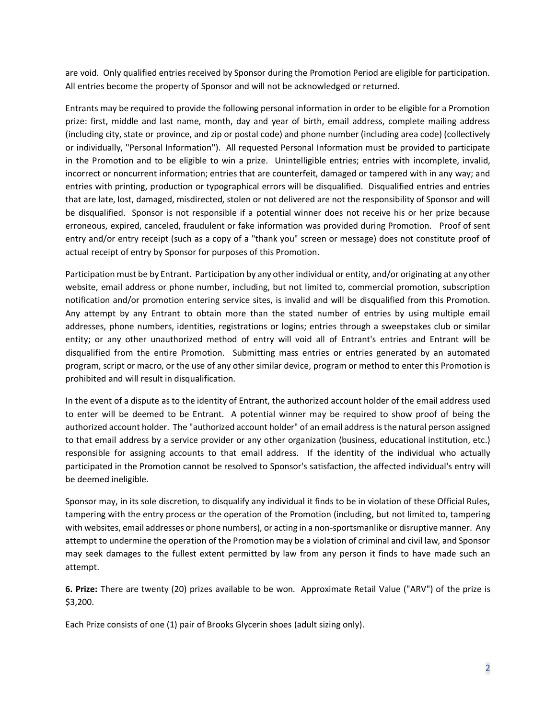are void. Only qualified entries received by Sponsor during the Promotion Period are eligible for participation. All entries become the property of Sponsor and will not be acknowledged or returned.

Entrants may be required to provide the following personal information in order to be eligible for a Promotion prize: first, middle and last name, month, day and year of birth, email address, complete mailing address (including city, state or province, and zip or postal code) and phone number (including area code) (collectively or individually, "Personal Information"). All requested Personal Information must be provided to participate in the Promotion and to be eligible to win a prize. Unintelligible entries; entries with incomplete, invalid, incorrect or noncurrent information; entries that are counterfeit, damaged or tampered with in any way; and entries with printing, production or typographical errors will be disqualified. Disqualified entries and entries that are late, lost, damaged, misdirected, stolen or not delivered are not the responsibility of Sponsor and will be disqualified. Sponsor is not responsible if a potential winner does not receive his or her prize because erroneous, expired, canceled, fraudulent or fake information was provided during Promotion. Proof of sent entry and/or entry receipt (such as a copy of a "thank you" screen or message) does not constitute proof of actual receipt of entry by Sponsor for purposes of this Promotion.

Participation must be by Entrant. Participation by any other individual or entity, and/or originating at any other website, email address or phone number, including, but not limited to, commercial promotion, subscription notification and/or promotion entering service sites, is invalid and will be disqualified from this Promotion. Any attempt by any Entrant to obtain more than the stated number of entries by using multiple email addresses, phone numbers, identities, registrations or logins; entries through a sweepstakes club or similar entity; or any other unauthorized method of entry will void all of Entrant's entries and Entrant will be disqualified from the entire Promotion. Submitting mass entries or entries generated by an automated program, script or macro, or the use of any other similar device, program or method to enter this Promotion is prohibited and will result in disqualification.

In the event of a dispute as to the identity of Entrant, the authorized account holder of the email address used to enter will be deemed to be Entrant. A potential winner may be required to show proof of being the authorized account holder. The "authorized account holder" of an email addressis the natural person assigned to that email address by a service provider or any other organization (business, educational institution, etc.) responsible for assigning accounts to that email address. If the identity of the individual who actually participated in the Promotion cannot be resolved to Sponsor's satisfaction, the affected individual's entry will be deemed ineligible.

Sponsor may, in its sole discretion, to disqualify any individual it finds to be in violation of these Official Rules, tampering with the entry process or the operation of the Promotion (including, but not limited to, tampering with websites, email addresses or phone numbers), or acting in a non-sportsmanlike or disruptive manner. Any attempt to undermine the operation of the Promotion may be a violation of criminal and civil law, and Sponsor may seek damages to the fullest extent permitted by law from any person it finds to have made such an attempt.

**6. Prize:** There are twenty (20) prizes available to be won. Approximate Retail Value ("ARV") of the prize is \$3,200.

Each Prize consists of one (1) pair of Brooks Glycerin shoes (adult sizing only).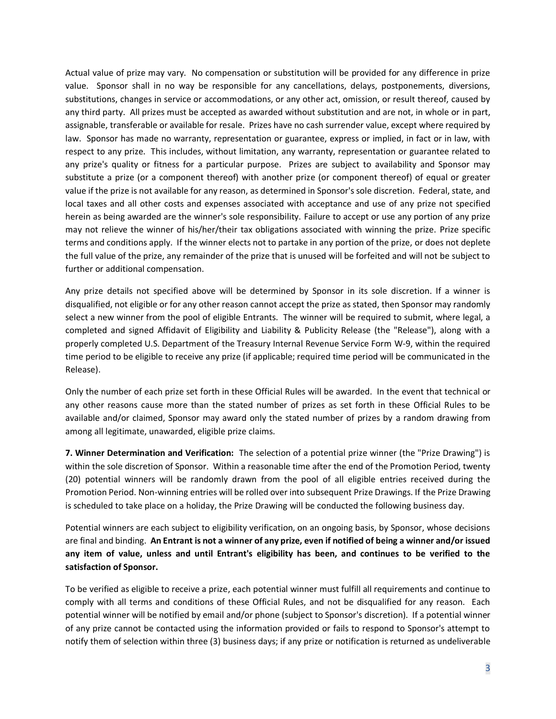Actual value of prize may vary. No compensation or substitution will be provided for any difference in prize value. Sponsor shall in no way be responsible for any cancellations, delays, postponements, diversions, substitutions, changes in service or accommodations, or any other act, omission, or result thereof, caused by any third party. All prizes must be accepted as awarded without substitution and are not, in whole or in part, assignable, transferable or available for resale. Prizes have no cash surrender value, except where required by law. Sponsor has made no warranty, representation or guarantee, express or implied, in fact or in law, with respect to any prize. This includes, without limitation, any warranty, representation or guarantee related to any prize's quality or fitness for a particular purpose. Prizes are subject to availability and Sponsor may substitute a prize (or a component thereof) with another prize (or component thereof) of equal or greater value if the prize is not available for any reason, as determined in Sponsor's sole discretion. Federal, state, and local taxes and all other costs and expenses associated with acceptance and use of any prize not specified herein as being awarded are the winner's sole responsibility. Failure to accept or use any portion of any prize may not relieve the winner of his/her/their tax obligations associated with winning the prize. Prize specific terms and conditions apply. If the winner elects not to partake in any portion of the prize, or does not deplete the full value of the prize, any remainder of the prize that is unused will be forfeited and will not be subject to further or additional compensation.

Any prize details not specified above will be determined by Sponsor in its sole discretion. If a winner is disqualified, not eligible or for any other reason cannot accept the prize as stated, then Sponsor may randomly select a new winner from the pool of eligible Entrants. The winner will be required to submit, where legal, a completed and signed Affidavit of Eligibility and Liability & Publicity Release (the "Release"), along with a properly completed U.S. Department of the Treasury Internal Revenue Service Form W-9, within the required time period to be eligible to receive any prize (if applicable; required time period will be communicated in the Release).

Only the number of each prize set forth in these Official Rules will be awarded. In the event that technical or any other reasons cause more than the stated number of prizes as set forth in these Official Rules to be available and/or claimed, Sponsor may award only the stated number of prizes by a random drawing from among all legitimate, unawarded, eligible prize claims.

**7. Winner Determination and Verification:** The selection of a potential prize winner (the "Prize Drawing") is within the sole discretion of Sponsor. Within a reasonable time after the end of the Promotion Period, twenty (20) potential winners will be randomly drawn from the pool of all eligible entries received during the Promotion Period. Non-winning entries will be rolled over into subsequent Prize Drawings. If the Prize Drawing is scheduled to take place on a holiday, the Prize Drawing will be conducted the following business day.

Potential winners are each subject to eligibility verification, on an ongoing basis, by Sponsor, whose decisions are final and binding. **An Entrant is not a winner of any prize, even if notified of being a winner and/or issued any item of value, unless and until Entrant's eligibility has been, and continues to be verified to the satisfaction of Sponsor.**

To be verified as eligible to receive a prize, each potential winner must fulfill all requirements and continue to comply with all terms and conditions of these Official Rules, and not be disqualified for any reason. Each potential winner will be notified by email and/or phone (subject to Sponsor's discretion). If a potential winner of any prize cannot be contacted using the information provided or fails to respond to Sponsor's attempt to notify them of selection within three (3) business days; if any prize or notification is returned as undeliverable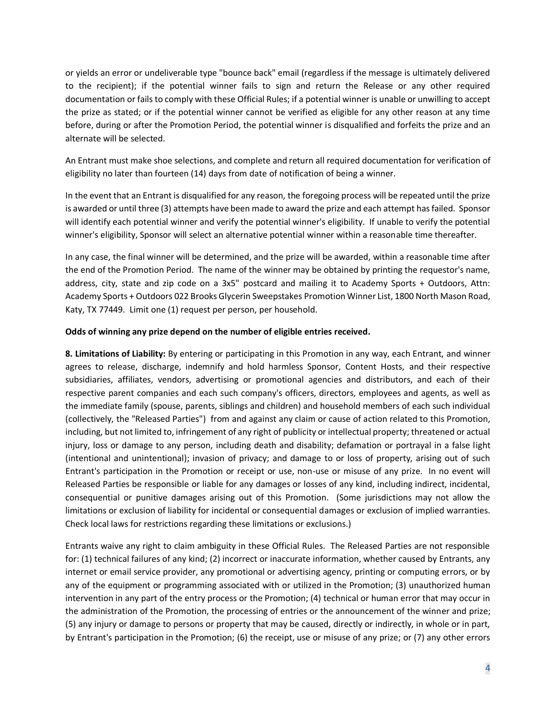or yields an error or undeliverable type "bounce back" email (regardless if the message is ultimately delivered to the recipient); if the potential winner fails to sign and return the Release or any other required documentation or fails to comply with these Official Rules; if a potential winner is unable or unwilling to accept the prize as stated; or if the potential winner cannot be verified as eligible for any other reason at any time before, during or after the Promotion Period, the potential winner is disqualified and forfeits the prize and an alternate will be selected.

An Entrant must make shoe selections, and complete and return all required documentation for verification of eligibility no later than fourteen (14) days from date of notification of being a winner.

In the event that an Entrant is disqualified for any reason, the foregoing process will be repeated until the prize is awarded or until three (3) attempts have been made to award the prize and each attempt has failed. Sponsor will identify each potential winner and verify the potential winner's eligibility. If unable to verify the potential winner's eligibility, Sponsor will select an alternative potential winner within a reasonable time thereafter.

In any case, the final winner will be determined, and the prize will be awarded, within a reasonable time after the end of the Promotion Period. The name of the winner may be obtained by printing the requestor's name, address, city, state and zip code on a 3x5" postcard and mailing it to Academy Sports + Outdoors, Attn: Academy Sports + Outdoors 022 Brooks Glycerin Sweepstakes Promotion Winner List, 1800 North Mason Road, Katy, TX 77449. Limit one (1) request per person, per household.

#### **Odds of winning any prize depend on the number of eligible entries received.**

**8. Limitations of Liability:** By entering or participating in this Promotion in any way, each Entrant, and winner agrees to release, discharge, indemnify and hold harmless Sponsor, Content Hosts, and their respective subsidiaries, affiliates, vendors, advertising or promotional agencies and distributors, and each of their respective parent companies and each such company's officers, directors, employees and agents, as well as the immediate family (spouse, parents, siblings and children) and household members of each such individual (collectively, the "Released Parties") from and against any claim or cause of action related to this Promotion, including, but not limited to, infringement of any right of publicity or intellectual property; threatened or actual injury, loss or damage to any person, including death and disability; defamation or portrayal in a false light (intentional and unintentional); invasion of privacy; and damage to or loss of property, arising out of such Entrant's participation in the Promotion or receipt or use, non-use or misuse of any prize. In no event will Released Parties be responsible or liable for any damages or losses of any kind, including indirect, incidental, consequential or punitive damages arising out of this Promotion. (Some jurisdictions may not allow the limitations or exclusion of liability for incidental or consequential damages or exclusion of implied warranties. Check local laws for restrictions regarding these limitations or exclusions.)

Entrants waive any right to claim ambiguity in these Official Rules. The Released Parties are not responsible for: (1) technical failures of any kind; (2) incorrect or inaccurate information, whether caused by Entrants, any internet or email service provider, any promotional or advertising agency, printing or computing errors, or by any of the equipment or programming associated with or utilized in the Promotion; (3) unauthorized human intervention in any part of the entry process or the Promotion; (4) technical or human error that may occur in the administration of the Promotion, the processing of entries or the announcement of the winner and prize; (5) any injury or damage to persons or property that may be caused, directly or indirectly, in whole or in part, by Entrant's participation in the Promotion; (6) the receipt, use or misuse of any prize; or (7) any other errors